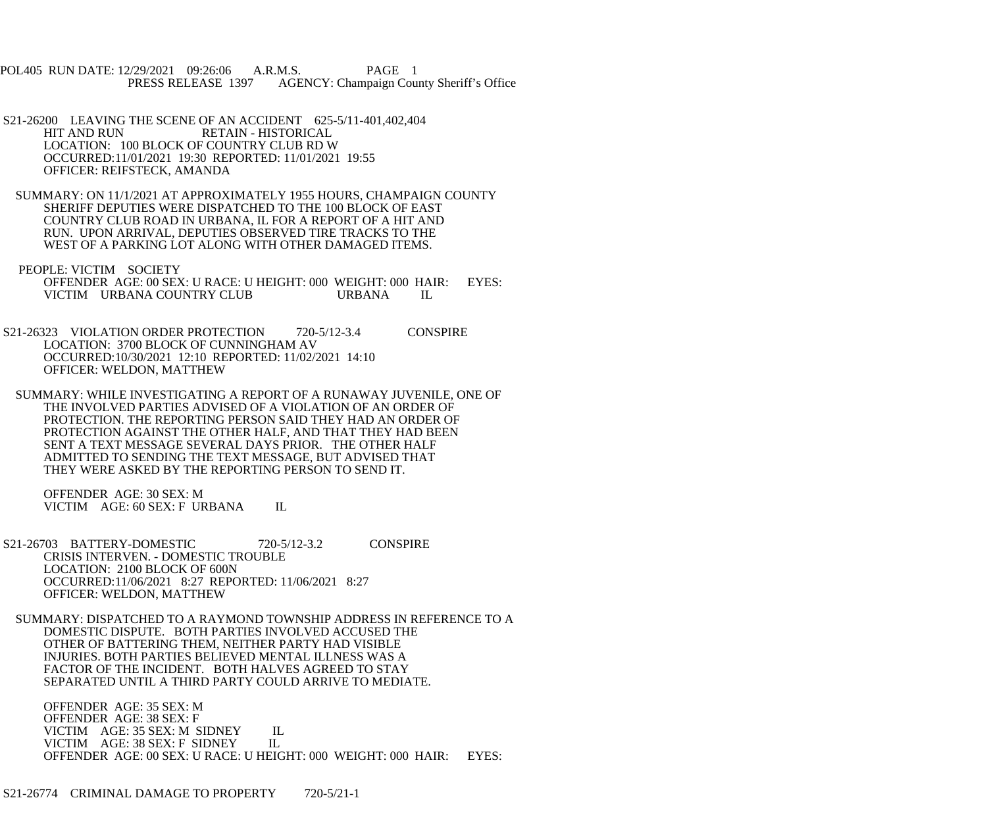POL405 RUN DATE: 12/29/2021 09:26:06 A.R.M.S. PAGE 1<br>PRESS RELEASE 1397 AGENCY: Champaign Cou AGENCY: Champaign County Sheriff's Office

- S21-26200 LEAVING THE SCENE OF AN ACCIDENT 625-5/11-401,402,404<br>HIT AND RUN RETAIN HISTORICAL RETAIN - HISTORICAL LOCATION: 100 BLOCK OF COUNTRY CLUB RD W OCCURRED:11/01/2021 19:30 REPORTED: 11/01/2021 19:55 OFFICER: REIFSTECK, AMANDA
- SUMMARY: ON 11/1/2021 AT APPROXIMATELY 1955 HOURS, CHAMPAIGN COUNTY SHERIFF DEPUTIES WERE DISPATCHED TO THE 100 BLOCK OF EAST COUNTRY CLUB ROAD IN URBANA, IL FOR A REPORT OF A HIT AND RUN. UPON ARRIVAL, DEPUTIES OBSERVED TIRE TRACKS TO THE WEST OF A PARKING LOT ALONG WITH OTHER DAMAGED ITEMS.
- PEOPLE: VICTIM SOCIETY OFFENDER AGE: 00 SEX: U RACE: U HEIGHT: 000 WEIGHT: 000 HAIR: EYES: VICTIM URBANA COUNTRY CLUB URBANA IL
- S21-26323 VIOLATION ORDER PROTECTION 720-5/12-3.4 CONSPIRE LOCATION: 3700 BLOCK OF CUNNINGHAM AV OCCURRED:10/30/2021 12:10 REPORTED: 11/02/2021 14:10 OFFICER: WELDON, MATTHEW
- SUMMARY: WHILE INVESTIGATING A REPORT OF A RUNAWAY JUVENILE, ONE OF THE INVOLVED PARTIES ADVISED OF A VIOLATION OF AN ORDER OF PROTECTION. THE REPORTING PERSON SAID THEY HAD AN ORDER OF PROTECTION AGAINST THE OTHER HALF, AND THAT THEY HAD BEEN SENT A TEXT MESSAGE SEVERAL DAYS PRIOR. THE OTHER HALF ADMITTED TO SENDING THE TEXT MESSAGE, BUT ADVISED THAT THEY WERE ASKED BY THE REPORTING PERSON TO SEND IT.

 OFFENDER AGE: 30 SEX: M VICTIM AGE: 60 SEX: F URBANA IL

- S21-26703 BATTERY-DOMESTIC 720-5/12-3.2 CONSPIRE CRISIS INTERVEN. - DOMESTIC TROUBLE LOCATION: 2100 BLOCK OF 600N OCCURRED:11/06/2021 8:27 REPORTED: 11/06/2021 8:27 OFFICER: WELDON, MATTHEW
- SUMMARY: DISPATCHED TO A RAYMOND TOWNSHIP ADDRESS IN REFERENCE TO A DOMESTIC DISPUTE. BOTH PARTIES INVOLVED ACCUSED THE OTHER OF BATTERING THEM, NEITHER PARTY HAD VISIBLE INJURIES. BOTH PARTIES BELIEVED MENTAL ILLNESS WAS A FACTOR OF THE INCIDENT. BOTH HALVES AGREED TO STAY SEPARATED UNTIL A THIRD PARTY COULD ARRIVE TO MEDIATE.

 OFFENDER AGE: 35 SEX: M OFFENDER AGE: 38 SEX: F VICTIM AGE: 35 SEX: M SIDNEY IL<br>VICTIM AGE: 38 SEX: F SIDNEY IL VICTIM AGE: 38 SEX: F SIDNEY OFFENDER AGE: 00 SEX: U RACE: U HEIGHT: 000 WEIGHT: 000 HAIR: EYES: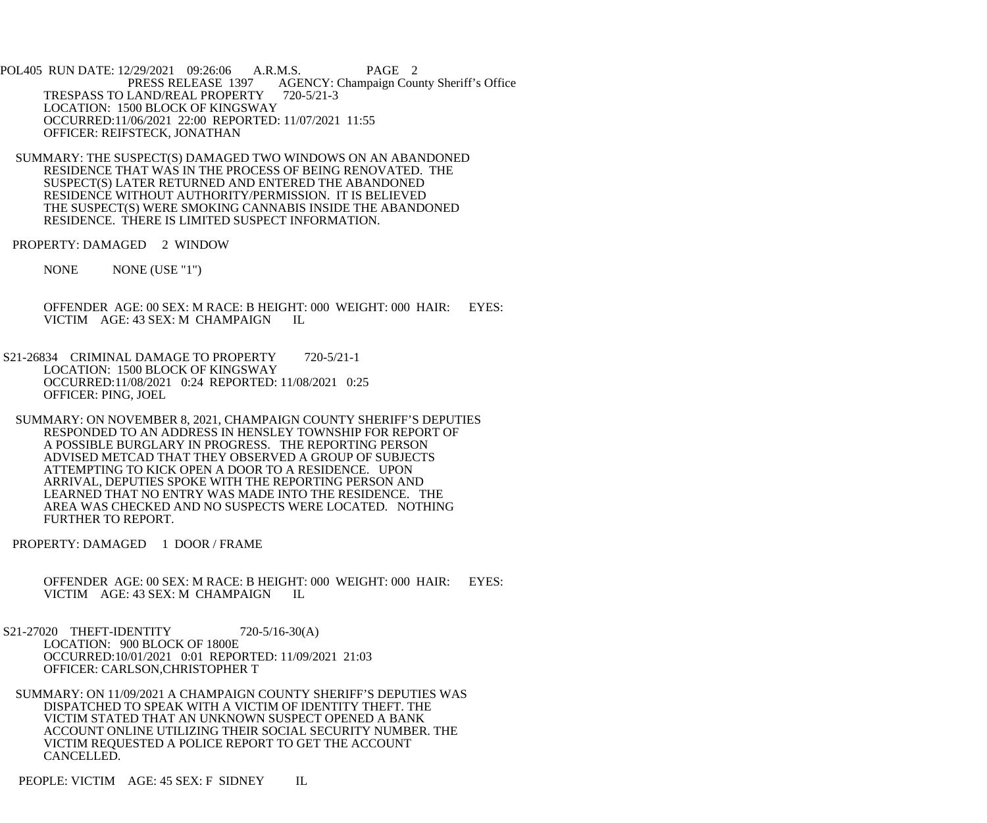POL405 RUN DATE: 12/29/2021 09:26:06 A.R.M.S. PAGE 2 PRESS RELEASE 1397 AGENCY: Champaign County Sheriff's Office TRESPASS TO LAND/REAL PROPERTY 720-5/21-3 LOCATION: 1500 BLOCK OF KINGSWAY OCCURRED:11/06/2021 22:00 REPORTED: 11/07/2021 11:55 OFFICER: REIFSTECK, JONATHAN

 SUMMARY: THE SUSPECT(S) DAMAGED TWO WINDOWS ON AN ABANDONED RESIDENCE THAT WAS IN THE PROCESS OF BEING RENOVATED. THE SUSPECT(S) LATER RETURNED AND ENTERED THE ABANDONED RESIDENCE WITHOUT AUTHORITY/PERMISSION. IT IS BELIEVED THE SUSPECT(S) WERE SMOKING CANNABIS INSIDE THE ABANDONED RESIDENCE. THERE IS LIMITED SUSPECT INFORMATION.

PROPERTY: DAMAGED 2 WINDOW

NONE NONE (USE "1")

 OFFENDER AGE: 00 SEX: M RACE: B HEIGHT: 000 WEIGHT: 000 HAIR: EYES: VICTIM AGE: 43 SEX: M CHAMPAIGN IL

S21-26834 CRIMINAL DAMAGE TO PROPERTY 720-5/21-1 LOCATION: 1500 BLOCK OF KINGSWAY OCCURRED:11/08/2021 0:24 REPORTED: 11/08/2021 0:25 OFFICER: PING, JOEL

 SUMMARY: ON NOVEMBER 8, 2021, CHAMPAIGN COUNTY SHERIFF'S DEPUTIES RESPONDED TO AN ADDRESS IN HENSLEY TOWNSHIP FOR REPORT OF A POSSIBLE BURGLARY IN PROGRESS. THE REPORTING PERSON ADVISED METCAD THAT THEY OBSERVED A GROUP OF SUBJECTS ATTEMPTING TO KICK OPEN A DOOR TO A RESIDENCE. UPON ARRIVAL, DEPUTIES SPOKE WITH THE REPORTING PERSON AND LEARNED THAT NO ENTRY WAS MADE INTO THE RESIDENCE. THE AREA WAS CHECKED AND NO SUSPECTS WERE LOCATED. NOTHING FURTHER TO REPORT.

PROPERTY: DAMAGED 1 DOOR / FRAME

 OFFENDER AGE: 00 SEX: M RACE: B HEIGHT: 000 WEIGHT: 000 HAIR: EYES: VICTIM AGE: 43 SEX: M CHAMPAIGN IL

S21-27020 THEFT-IDENTITY 720-5/16-30(A) LOCATION: 900 BLOCK OF 1800E OCCURRED:10/01/2021 0:01 REPORTED: 11/09/2021 21:03 OFFICER: CARLSON,CHRISTOPHER T

 SUMMARY: ON 11/09/2021 A CHAMPAIGN COUNTY SHERIFF'S DEPUTIES WAS DISPATCHED TO SPEAK WITH A VICTIM OF IDENTITY THEFT. THE VICTIM STATED THAT AN UNKNOWN SUSPECT OPENED A BANK ACCOUNT ONLINE UTILIZING THEIR SOCIAL SECURITY NUMBER. THE VICTIM REQUESTED A POLICE REPORT TO GET THE ACCOUNT CANCELLED.

PEOPLE: VICTIM AGE: 45 SEX: F SIDNEY IL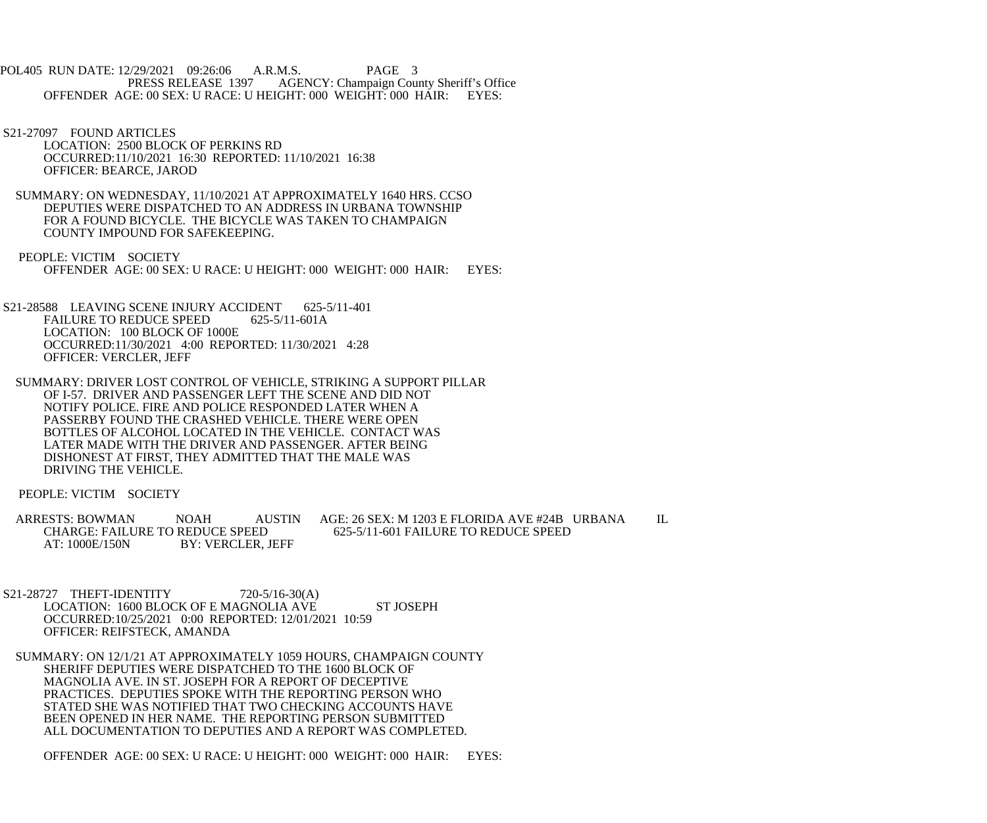POL405 RUN DATE: 12/29/2021 09:26:06 A.R.M.S. PAGE 3<br>PRESS RELEASE 1397 AGENCY: Champaign Cou AGENCY: Champaign County Sheriff's Office OFFENDER AGE: 00 SEX: U RACE: U HEIGHT: 000 WEIGHT: 000 HAIR: EYES:

- S21-27097 FOUND ARTICLES LOCATION: 2500 BLOCK OF PERKINS RD OCCURRED:11/10/2021 16:30 REPORTED: 11/10/2021 16:38 OFFICER: BEARCE, JAROD
- SUMMARY: ON WEDNESDAY, 11/10/2021 AT APPROXIMATELY 1640 HRS. CCSO DEPUTIES WERE DISPATCHED TO AN ADDRESS IN URBANA TOWNSHIP FOR A FOUND BICYCLE. THE BICYCLE WAS TAKEN TO CHAMPAIGN COUNTY IMPOUND FOR SAFEKEEPING.
- PEOPLE: VICTIM SOCIETY OFFENDER AGE: 00 SEX: U RACE: U HEIGHT: 000 WEIGHT: 000 HAIR: EYES:
- S21-28588 LEAVING SCENE INJURY ACCIDENT 625-5/11-401 FAILURE TO REDUCE SPEED 625-5/11-601A LOCATION: 100 BLOCK OF 1000E OCCURRED:11/30/2021 4:00 REPORTED: 11/30/2021 4:28 OFFICER: VERCLER, JEFF
- SUMMARY: DRIVER LOST CONTROL OF VEHICLE, STRIKING A SUPPORT PILLAR OF I-57. DRIVER AND PASSENGER LEFT THE SCENE AND DID NOT NOTIFY POLICE. FIRE AND POLICE RESPONDED LATER WHEN A PASSERBY FOUND THE CRASHED VEHICLE. THERE WERE OPEN BOTTLES OF ALCOHOL LOCATED IN THE VEHICLE. CONTACT WAS LATER MADE WITH THE DRIVER AND PASSENGER. AFTER BEING DISHONEST AT FIRST, THEY ADMITTED THAT THE MALE WAS DRIVING THE VEHICLE.

PEOPLE: VICTIM SOCIETY

- ARRESTS: BOWMAN NOAH AUSTIN AGE: 26 SEX: M 1203 E FLORIDA AVE #24B URBANA IL CHARGE: FAILURE TO REDUCE SPEED 625-5/11-601 FAILURE TO REDUCE SPEED CHARGE: FAILURE TO REDUCE SPEED 625-5/11-601 FAILURE TO REDUCE SPEED<br>AT: 1000E/150N BY: VERCLER. JEFF BY: VERCLER, JEFF
- S21-28727 THEFT-IDENTITY 720-5/16-30(A) LOCATION: 1600 BLOCK OF E MAGNOLIA AVE ST JOSEPH OCCURRED:10/25/2021 0:00 REPORTED: 12/01/2021 10:59 OFFICER: REIFSTECK, AMANDA
- SUMMARY: ON 12/1/21 AT APPROXIMATELY 1059 HOURS, CHAMPAIGN COUNTY SHERIFF DEPUTIES WERE DISPATCHED TO THE 1600 BLOCK OF MAGNOLIA AVE. IN ST. JOSEPH FOR A REPORT OF DECEPTIVE PRACTICES. DEPUTIES SPOKE WITH THE REPORTING PERSON WHO STATED SHE WAS NOTIFIED THAT TWO CHECKING ACCOUNTS HAVE BEEN OPENED IN HER NAME. THE REPORTING PERSON SUBMITTED ALL DOCUMENTATION TO DEPUTIES AND A REPORT WAS COMPLETED.

OFFENDER AGE: 00 SEX: U RACE: U HEIGHT: 000 WEIGHT: 000 HAIR: EYES: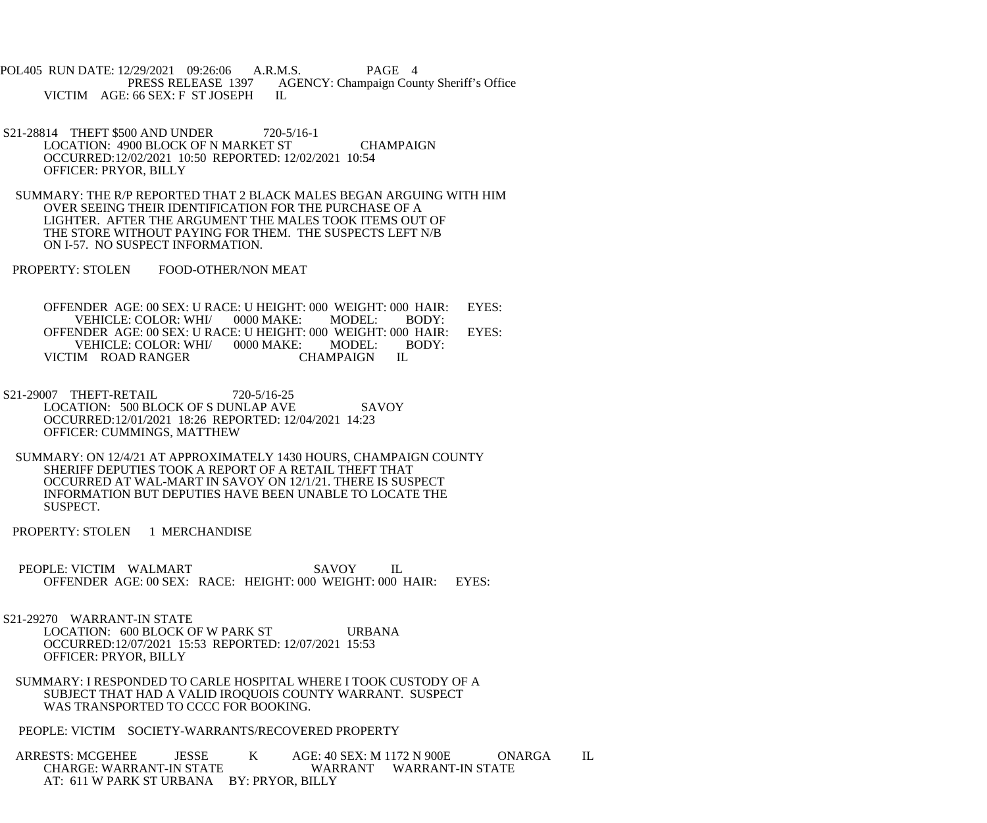POL405 RUN DATE: 12/29/2021 09:26:06 A.R.M.S. PAGE 4 PRESS RELEASE 1397 AGENCY: Champaign County Sheriff's Office VICTIM AGE: 66 SEX: F ST JOSEPH IL

- S21-28814 THEFT \$500 AND UNDER 720-5/16-1 LOCATION: 4900 BLOCK OF N MARKET ST CHAMPAIGN OCCURRED:12/02/2021 10:50 REPORTED: 12/02/2021 10:54 OFFICER: PRYOR, BILLY
- SUMMARY: THE R/P REPORTED THAT 2 BLACK MALES BEGAN ARGUING WITH HIM OVER SEEING THEIR IDENTIFICATION FOR THE PURCHASE OF A LIGHTER. AFTER THE ARGUMENT THE MALES TOOK ITEMS OUT OF THE STORE WITHOUT PAYING FOR THEM. THE SUSPECTS LEFT N/B ON I-57. NO SUSPECT INFORMATION.
- PROPERTY: STOLEN FOOD-OTHER/NON MEAT

OFFENDER AGE: 00 SEX: U RACE: U HEIGHT: 000 WEIGHT: 000 HAIR: EYES:<br>VEHICLE: COLOR: WHI/ 0000 MAKE: MODEL: BODY: VEHICLE: COLOR: WHI/ 0000 MAKE: MODEL: BODY: OFFENDER AGE: 00 SEX: U RACE: U HEIGHT: 000 WEIGHT: 000 HAIR: EYES:<br>VEHICLE: COLOR: WHI/ 0000 MAKE: MODEL: BODY: VEHICLE: COLOR: WHI/ 0000 MAKE: MODEL: BODY: VICTIM ROAD RANGER CHAMPAIGN

- S21-29007 THEFT-RETAIL 720-5/16-25 LOCATION: 500 BLOCK OF S DUNLAP AVE SAVOY OCCURRED:12/01/2021 18:26 REPORTED: 12/04/2021 14:23 OFFICER: CUMMINGS, MATTHEW
- SUMMARY: ON 12/4/21 AT APPROXIMATELY 1430 HOURS, CHAMPAIGN COUNTY SHERIFF DEPUTIES TOOK A REPORT OF A RETAIL THEFT THAT OCCURRED AT WAL-MART IN SAVOY ON 12/1/21. THERE IS SUSPECT INFORMATION BUT DEPUTIES HAVE BEEN UNABLE TO LOCATE THE SUSPECT.
- PROPERTY: STOLEN 1 MERCHANDISE
- PEOPLE: VICTIM WALMART SAVOY IL OFFENDER AGE: 00 SEX: RACE: HEIGHT: 000 WEIGHT: 000 HAIR: EYES:
- S21-29270 WARRANT-IN STATE LOCATION: 600 BLOCK OF W PARK ST URBANA OCCURRED:12/07/2021 15:53 REPORTED: 12/07/2021 15:53 OFFICER: PRYOR, BILLY
	- SUMMARY: I RESPONDED TO CARLE HOSPITAL WHERE I TOOK CUSTODY OF A SUBJECT THAT HAD A VALID IROQUOIS COUNTY WARRANT. SUSPECT WAS TRANSPORTED TO CCCC FOR BOOKING.
	- PEOPLE: VICTIM SOCIETY-WARRANTS/RECOVERED PROPERTY

ARRESTS: MCGEHEE JESSE K AGE: 40 SEX: M 1172 N 900E ONARGA IL<br>CHARGE: WARRANT-IN STATE WARRANT WARRANT-IN STATE WARRANT WARRANT-IN STATE AT: 611 W PARK ST URBANA BY: PRYOR, BILLY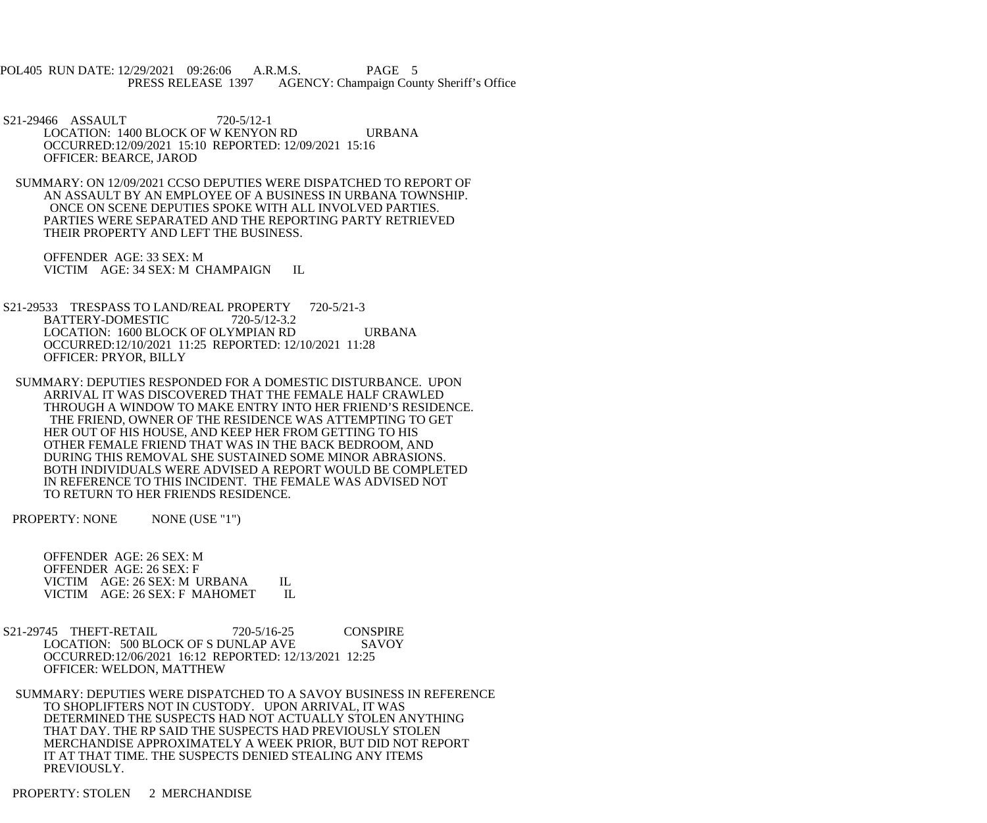POL405 RUN DATE: 12/29/2021 09:26:06 A.R.M.S. PAGE 5 PRESS RELEASE 1397 AGENCY: Champaign County Sheriff's Office

S21-29466 ASSAULT 720-5/12-1 LOCATION: 1400 BLOCK OF W KENYON RD URBANA OCCURRED:12/09/2021 15:10 REPORTED: 12/09/2021 15:16 OFFICER: BEARCE, JAROD

 SUMMARY: ON 12/09/2021 CCSO DEPUTIES WERE DISPATCHED TO REPORT OF AN ASSAULT BY AN EMPLOYEE OF A BUSINESS IN URBANA TOWNSHIP. ONCE ON SCENE DEPUTIES SPOKE WITH ALL INVOLVED PARTIES. PARTIES WERE SEPARATED AND THE REPORTING PARTY RETRIEVED THEIR PROPERTY AND LEFT THE BUSINESS.

 OFFENDER AGE: 33 SEX: M VICTIM AGE: 34 SEX: M CHAMPAIGN IL

S21-29533 TRESPASS TO LAND/REAL PROPERTY 720-5/21-3 BATTERY-DOMESTIC 720-5/12-3.2 LOCATION: 1600 BLOCK OF OLYMPIAN RD URBANA OCCURRED:12/10/2021 11:25 REPORTED: 12/10/2021 11:28 OFFICER: PRYOR, BILLY

 SUMMARY: DEPUTIES RESPONDED FOR A DOMESTIC DISTURBANCE. UPON ARRIVAL IT WAS DISCOVERED THAT THE FEMALE HALF CRAWLED THROUGH A WINDOW TO MAKE ENTRY INTO HER FRIEND'S RESIDENCE. THE FRIEND, OWNER OF THE RESIDENCE WAS ATTEMPTING TO GET HER OUT OF HIS HOUSE, AND KEEP HER FROM GETTING TO HIS OTHER FEMALE FRIEND THAT WAS IN THE BACK BEDROOM, AND DURING THIS REMOVAL SHE SUSTAINED SOME MINOR ABRASIONS. BOTH INDIVIDUALS WERE ADVISED A REPORT WOULD BE COMPLETED IN REFERENCE TO THIS INCIDENT. THE FEMALE WAS ADVISED NOT TO RETURN TO HER FRIENDS RESIDENCE.

PROPERTY: NONE NONE (USE "1")

 OFFENDER AGE: 26 SEX: M OFFENDER AGE: 26 SEX: F VICTIM AGE: 26 SEX: M URBANA IL<br>VICTIM AGE: 26 SEX: F MAHOMET IL VICTIM AGE: 26 SEX: F MAHOMET

 S21-29745 THEFT-RETAIL 720-5/16-25 CONSPIRE LOCATION: 500 BLOCK OF S DUNLAP AVE SAVOY OCCURRED:12/06/2021 16:12 REPORTED: 12/13/2021 12:25 OFFICER: WELDON, MATTHEW

 SUMMARY: DEPUTIES WERE DISPATCHED TO A SAVOY BUSINESS IN REFERENCE TO SHOPLIFTERS NOT IN CUSTODY. UPON ARRIVAL, IT WAS DETERMINED THE SUSPECTS HAD NOT ACTUALLY STOLEN ANYTHING THAT DAY. THE RP SAID THE SUSPECTS HAD PREVIOUSLY STOLEN MERCHANDISE APPROXIMATELY A WEEK PRIOR, BUT DID NOT REPORT IT AT THAT TIME. THE SUSPECTS DENIED STEALING ANY ITEMS PREVIOUSLY.

PROPERTY: STOLEN 2 MERCHANDISE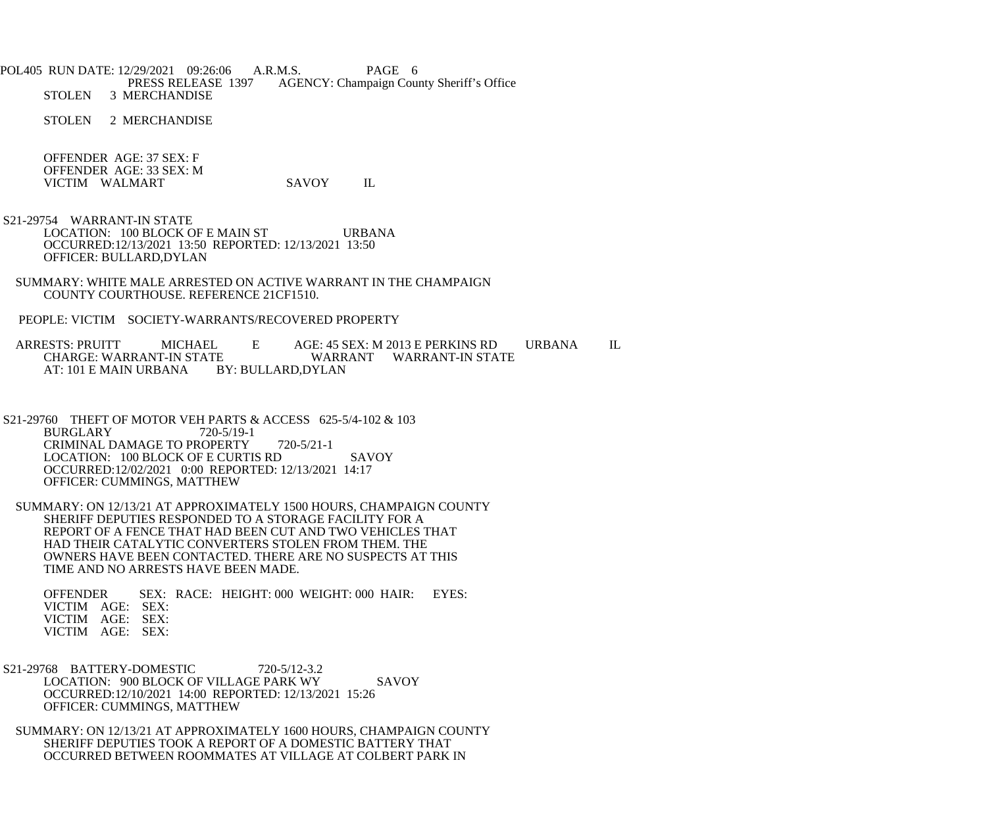POL405 RUN DATE: 12/29/2021 09:26:06 A.R.M.S. PAGE 6<br>PRESS RELEASE 1397 AGENCY: Champaign Cou PRESS RELEASE 1397 AGENCY: Champaign County Sheriff's Office<br>STOLEN 3 MERCHANDISE 3 MERCHANDISE

STOLEN 2 MERCHANDISE

 OFFENDER AGE: 37 SEX: F OFFENDER AGE: 33 SEX: M VICTIM WALMART SAVOY IL

 S21-29754 WARRANT-IN STATE LOCATION: 100 BLOCK OF E MAIN ST URBANA OCCURRED:12/13/2021 13:50 REPORTED: 12/13/2021 13:50 OFFICER: BULLARD,DYLAN

 SUMMARY: WHITE MALE ARRESTED ON ACTIVE WARRANT IN THE CHAMPAIGN COUNTY COURTHOUSE. REFERENCE 21CF1510.

PEOPLE: VICTIM SOCIETY-WARRANTS/RECOVERED PROPERTY

ARRESTS: PRUITT MICHAEL E AGE: 45 SEX: M 2013 E PERKINS RD URBANA IL<br>CHARGE: WARRANT-IN STATE WARRANT WARRANT-IN STATE CHARGE: WARRANT-IN STATE WARRANT WARRANT-IN STATE AT: 101 E MAIN URBANA

 S21-29760 THEFT OF MOTOR VEH PARTS & ACCESS 625-5/4-102 & 103 BURGLARY 720-5/19-1 CRIMINAL DAMAGE TO PROPERTY 720-5/21-1 LOCATION: 100 BLOCK OF E CURTIS RD SAVOY OCCURRED:12/02/2021 0:00 REPORTED: 12/13/2021 14:17 OFFICER: CUMMINGS, MATTHEW

 SUMMARY: ON 12/13/21 AT APPROXIMATELY 1500 HOURS, CHAMPAIGN COUNTY SHERIFF DEPUTIES RESPONDED TO A STORAGE FACILITY FOR A REPORT OF A FENCE THAT HAD BEEN CUT AND TWO VEHICLES THAT HAD THEIR CATALYTIC CONVERTERS STOLEN FROM THEM. THE OWNERS HAVE BEEN CONTACTED. THERE ARE NO SUSPECTS AT THIS TIME AND NO ARRESTS HAVE BEEN MADE.

 OFFENDER SEX: RACE: HEIGHT: 000 WEIGHT: 000 HAIR: EYES: VICTIM AGE: SEX: VICTIM AGE: SEX: VICTIM AGE: SEX:

S21-29768 BATTERY-DOMESTIC 720-5/12-3.2 LOCATION: 900 BLOCK OF VILLAGE PARK WY SAVOY OCCURRED:12/10/2021 14:00 REPORTED: 12/13/2021 15:26 OFFICER: CUMMINGS, MATTHEW

 SUMMARY: ON 12/13/21 AT APPROXIMATELY 1600 HOURS, CHAMPAIGN COUNTY SHERIFF DEPUTIES TOOK A REPORT OF A DOMESTIC BATTERY THAT OCCURRED BETWEEN ROOMMATES AT VILLAGE AT COLBERT PARK IN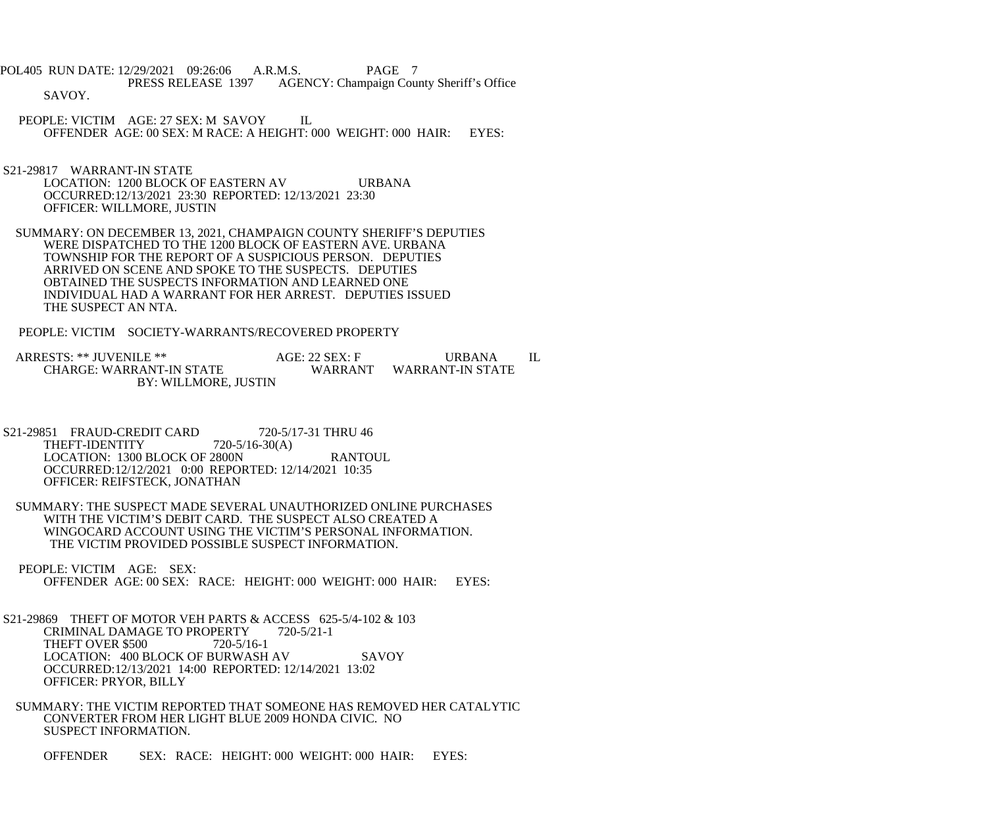POL405 RUN DATE: 12/29/2021 09:26:06 A.R.M.S. PAGE 7<br>PRESS RELEASE 1397 AGENCY: Champaign Cou AGENCY: Champaign County Sheriff's Office SAVOY.

- PEOPLE: VICTIM AGE: 27 SEX: M SAVOY IL OFFENDER AGE: 00 SEX: M RACE: A HEIGHT: 000 WEIGHT: 000 HAIR: EYES:
- S21-29817 WARRANT-IN STATE LOCATION: 1200 BLOCK OF EASTERN AV URBANA OCCURRED:12/13/2021 23:30 REPORTED: 12/13/2021 23:30 OFFICER: WILLMORE, JUSTIN
- SUMMARY: ON DECEMBER 13, 2021, CHAMPAIGN COUNTY SHERIFF'S DEPUTIES WERE DISPATCHED TO THE 1200 BLOCK OF EASTERN AVE. URBANA TOWNSHIP FOR THE REPORT OF A SUSPICIOUS PERSON. DEPUTIES ARRIVED ON SCENE AND SPOKE TO THE SUSPECTS. DEPUTIES OBTAINED THE SUSPECTS INFORMATION AND LEARNED ONE INDIVIDUAL HAD A WARRANT FOR HER ARREST. DEPUTIES ISSUED THE SUSPECT AN NTA.
- PEOPLE: VICTIM SOCIETY-WARRANTS/RECOVERED PROPERTY

ARRESTS: \*\* JUVENILE \*\* AGE: 22 SEX: F URBANA IL CHARGE: WARRANT-IN STATE WARRANT WARRANT-IN STATE WARRANT WARRANT-IN STATE BY: WILLMORE, JUSTIN

- S21-29851 FRAUD-CREDIT CARD 720-5/17-31 THRU 46<br>THEFT-IDENTITY 720-5/16-30(A) THEFT-IDENTITY LOCATION: 1300 BLOCK OF 2800N RANTOUL OCCURRED:12/12/2021 0:00 REPORTED: 12/14/2021 10:35 OFFICER: REIFSTECK, JONATHAN
- SUMMARY: THE SUSPECT MADE SEVERAL UNAUTHORIZED ONLINE PURCHASES WITH THE VICTIM'S DEBIT CARD. THE SUSPECT ALSO CREATED A WINGOCARD ACCOUNT USING THE VICTIM'S PERSONAL INFORMATION. THE VICTIM PROVIDED POSSIBLE SUSPECT INFORMATION.
- PEOPLE: VICTIM AGE: SEX: OFFENDER AGE: 00 SEX: RACE: HEIGHT: 000 WEIGHT: 000 HAIR: EYES:
- S21-29869 THEFT OF MOTOR VEH PARTS & ACCESS 625-5/4-102 & 103 CRIMINAL DAMAGE TO PROPERTY 720-5/21-1 THEFT OVER \$500 720-5/16-1 LOCATION: 400 BLOCK OF BURWASH AV SAVOY OCCURRED:12/13/2021 14:00 REPORTED: 12/14/2021 13:02 OFFICER: PRYOR, BILLY
	- SUMMARY: THE VICTIM REPORTED THAT SOMEONE HAS REMOVED HER CATALYTIC CONVERTER FROM HER LIGHT BLUE 2009 HONDA CIVIC. NO SUSPECT INFORMATION.
		- OFFENDER SEX: RACE: HEIGHT: 000 WEIGHT: 000 HAIR: EYES: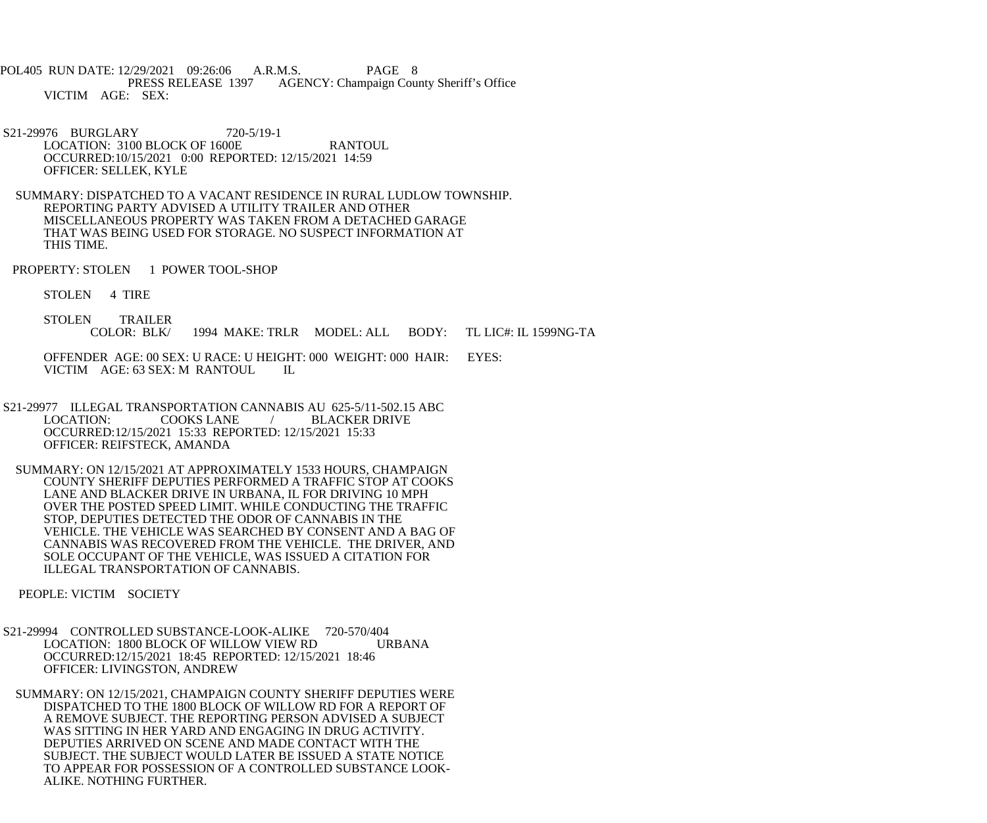POL405 RUN DATE: 12/29/2021 09:26:06 A.R.M.S. PAGE 8 AGENCY: Champaign County Sheriff's Office VICTIM AGE: SEX:

 S21-29976 BURGLARY 720-5/19-1 LOCATION: 3100 BLOCK OF 1600E RANTOUL OCCURRED:10/15/2021 0:00 REPORTED: 12/15/2021 14:59 OFFICER: SELLEK, KYLE

 SUMMARY: DISPATCHED TO A VACANT RESIDENCE IN RURAL LUDLOW TOWNSHIP. REPORTING PARTY ADVISED A UTILITY TRAILER AND OTHER MISCELLANEOUS PROPERTY WAS TAKEN FROM A DETACHED GARAGE THAT WAS BEING USED FOR STORAGE. NO SUSPECT INFORMATION AT THIS TIME.

PROPERTY: STOLEN 1 POWER TOOL-SHOP

STOLEN 4 TIRE

STOLEN TRAILER<br>COLOR: BLK/ 1994 MAKE: TRLR MODEL: ALL BODY: TL LIC#: IL 1599NG-TA

 OFFENDER AGE: 00 SEX: U RACE: U HEIGHT: 000 WEIGHT: 000 HAIR: EYES: VICTIM AGE: 63 SEX: M RANTOUL IL

 S21-29977 ILLEGAL TRANSPORTATION CANNABIS AU 625-5/11-502.15 ABC LOCATION: COOKS LANE / BLACKER DRIVE OCCURRED:12/15/2021 15:33 REPORTED: 12/15/2021 15:33 OFFICER: REIFSTECK, AMANDA

 SUMMARY: ON 12/15/2021 AT APPROXIMATELY 1533 HOURS, CHAMPAIGN COUNTY SHERIFF DEPUTIES PERFORMED A TRAFFIC STOP AT COOKS LANE AND BLACKER DRIVE IN URBANA, IL FOR DRIVING 10 MPH OVER THE POSTED SPEED LIMIT. WHILE CONDUCTING THE TRAFFIC STOP, DEPUTIES DETECTED THE ODOR OF CANNABIS IN THE VEHICLE. THE VEHICLE WAS SEARCHED BY CONSENT AND A BAG OF CANNABIS WAS RECOVERED FROM THE VEHICLE. THE DRIVER, AND SOLE OCCUPANT OF THE VEHICLE, WAS ISSUED A CITATION FOR ILLEGAL TRANSPORTATION OF CANNABIS.

PEOPLE: VICTIM SOCIETY

 S21-29994 CONTROLLED SUBSTANCE-LOOK-ALIKE 720-570/404 LOCATION: 1800 BLOCK OF WILLOW VIEW RD URBANA OCCURRED:12/15/2021 18:45 REPORTED: 12/15/2021 18:46 OFFICER: LIVINGSTON, ANDREW

 SUMMARY: ON 12/15/2021, CHAMPAIGN COUNTY SHERIFF DEPUTIES WERE DISPATCHED TO THE 1800 BLOCK OF WILLOW RD FOR A REPORT OF A REMOVE SUBJECT. THE REPORTING PERSON ADVISED A SUBJECT WAS SITTING IN HER YARD AND ENGAGING IN DRUG ACTIVITY. DEPUTIES ARRIVED ON SCENE AND MADE CONTACT WITH THE SUBJECT. THE SUBJECT WOULD LATER BE ISSUED A STATE NOTICE TO APPEAR FOR POSSESSION OF A CONTROLLED SUBSTANCE LOOK- ALIKE. NOTHING FURTHER.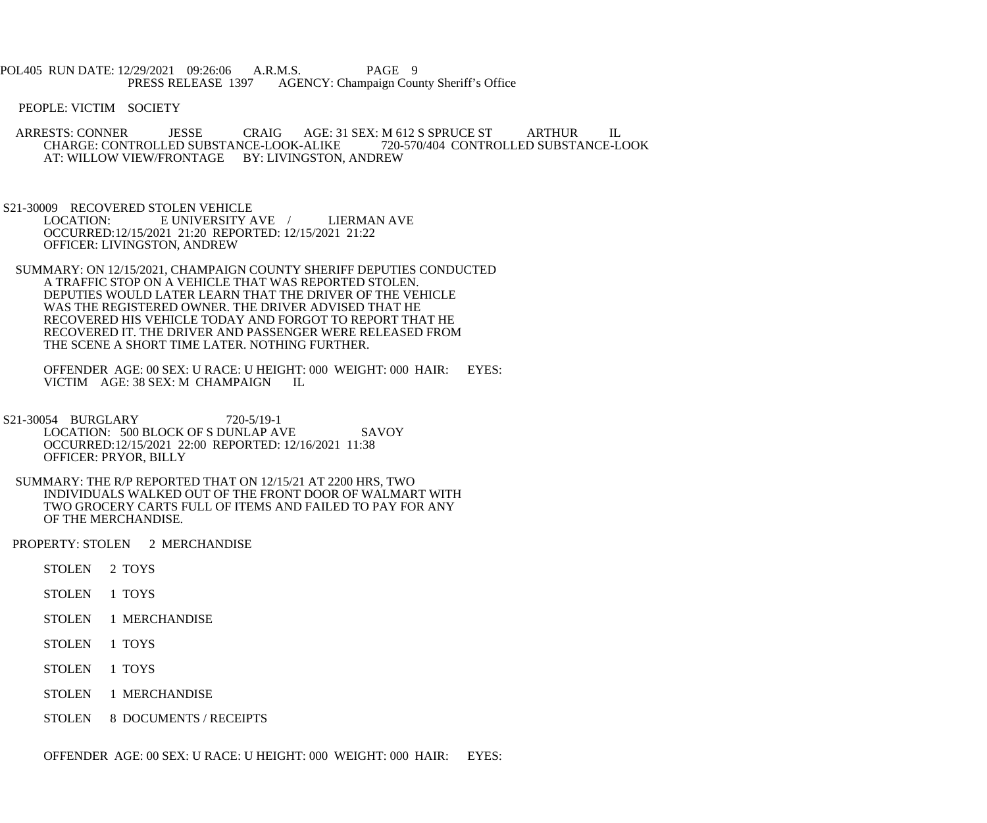POL405 RUN DATE: 12/29/2021 09:26:06 A.R.M.S. PAGE 9<br>PRESS RELEASE 1397 AGENCY: Champaign Cou AGENCY: Champaign County Sheriff's Office

PEOPLE: VICTIM SOCIETY

ARRESTS: CONNER JESSE CRAIG AGE: 31 SEX: M 612 S SPRUCE ST ARTHUR IL CHARGE: CONTROLLED SUBSTANCE-LOOK-ALIKE 720-570/404 CONTROLLED SUBSTANCE-LOOK CHARGE: CONTROLLED SUBSTANCE-LOOK-ALIKE AT: WILLOW VIEW/FRONTAGE BY: LIVINGSTON, ANDREW

S21-30009 RECOVERED STOLEN VEHICLE<br>LOCATION: E UNIVERSITY E UNIVERSITY AVE / LIERMAN AVE OCCURRED:12/15/2021 21:20 REPORTED: 12/15/2021 21:22 OFFICER: LIVINGSTON, ANDREW

 SUMMARY: ON 12/15/2021, CHAMPAIGN COUNTY SHERIFF DEPUTIES CONDUCTED A TRAFFIC STOP ON A VEHICLE THAT WAS REPORTED STOLEN. DEPUTIES WOULD LATER LEARN THAT THE DRIVER OF THE VEHICLE WAS THE REGISTERED OWNER. THE DRIVER ADVISED THAT HE RECOVERED HIS VEHICLE TODAY AND FORGOT TO REPORT THAT HE RECOVERED IT. THE DRIVER AND PASSENGER WERE RELEASED FROM THE SCENE A SHORT TIME LATER. NOTHING FURTHER.

 OFFENDER AGE: 00 SEX: U RACE: U HEIGHT: 000 WEIGHT: 000 HAIR: EYES: VICTIM AGE: 38 SEX: M CHAMPAIGN IL

- S21-30054 BURGLARY 720-5/19-1 LOCATION: 500 BLOCK OF S DUNLAP AVE SAVOY OCCURRED:12/15/2021 22:00 REPORTED: 12/16/2021 11:38 OFFICER: PRYOR, BILLY
- SUMMARY: THE R/P REPORTED THAT ON 12/15/21 AT 2200 HRS, TWO INDIVIDUALS WALKED OUT OF THE FRONT DOOR OF WALMART WITH TWO GROCERY CARTS FULL OF ITEMS AND FAILED TO PAY FOR ANY OF THE MERCHANDISE.

PROPERTY: STOLEN 2 MERCHANDISE

- STOLEN 2 TOYS
- STOLEN 1 TOYS
- STOLEN 1 MERCHANDISE
- STOLEN 1 TOYS
- STOLEN 1 TOYS
- STOLEN 1 MERCHANDISE
- STOLEN 8 DOCUMENTS / RECEIPTS

OFFENDER AGE: 00 SEX: U RACE: U HEIGHT: 000 WEIGHT: 000 HAIR: EYES: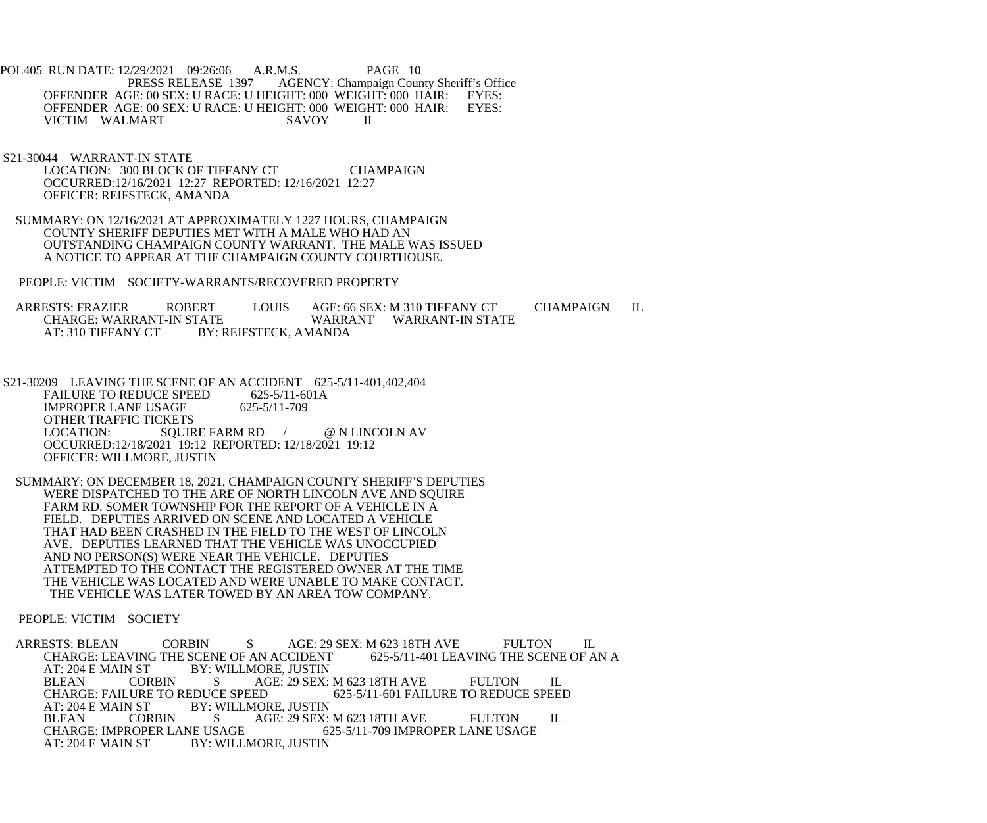POL405 RUN DATE: 12/29/2021 09:26:06 A.R.M.S. PAGE 10 AGENCY: Champaign County Sheriff's Office OFFENDER AGE: 00 SEX: U RACE: U HEIGHT: 000 WEIGHT: 000 HAIR: EYES: OFFENDER AGE: 00 SEX: U RACE: U HEIGHT: 000 WEIGHT: 000 HAIR: EYES: OFFENDER AGE: 00 SEX: U RACE: U HEIGHT: 000 WEIGHT: 000 HAIR:<br>VICTIM WALMART SAVOY IL VICTIM WALMART

 S21-30044 WARRANT-IN STATE LOCATION: 300 BLOCK OF TIFFANY CT CHAMPAIGN OCCURRED:12/16/2021 12:27 REPORTED: 12/16/2021 12:27 OFFICER: REIFSTECK, AMANDA

 SUMMARY: ON 12/16/2021 AT APPROXIMATELY 1227 HOURS, CHAMPAIGN COUNTY SHERIFF DEPUTIES MET WITH A MALE WHO HAD AN OUTSTANDING CHAMPAIGN COUNTY WARRANT. THE MALE WAS ISSUED A NOTICE TO APPEAR AT THE CHAMPAIGN COUNTY COURTHOUSE.

PEOPLE: VICTIM SOCIETY-WARRANTS/RECOVERED PROPERTY

ARRESTS: FRAZIER ROBERT LOUIS AGE: 66 SEX: M 310 TIFFANY CT CHAMPAIGN IL CHARGE: WARRANT-IN STATE WARRANT WARRANT-IN STATE CHARGE: WARRANT-IN STATE WARRANT WARRANT-IN STATE<br>AT: 310 TIFFANY CT BY: REIFSTECK. AMANDA BY: REIFSTECK, AMANDA

S21-30209 LEAVING THE SCENE OF AN ACCIDENT 625-5/11-401,402,404<br>FAILURE TO REDUCE SPEED 625-5/11-601A FAILURE TO REDUCE SPEED 625-5/11-60<br>IMPROPER LANE USAGE 625-5/11-709 **IMPROPER LANE USAGE**  OTHER TRAFFIC TICKETS LOCATION: SQUIRE FARM RD / @ N LINCOLN AV OCCURRED:12/18/2021 19:12 REPORTED: 12/18/2021 19:12 OFFICER: WILLMORE, JUSTIN

 SUMMARY: ON DECEMBER 18, 2021, CHAMPAIGN COUNTY SHERIFF'S DEPUTIES WERE DISPATCHED TO THE ARE OF NORTH LINCOLN AVE AND SQUIRE FARM RD. SOMER TOWNSHIP FOR THE REPORT OF A VEHICLE IN A FIELD. DEPUTIES ARRIVED ON SCENE AND LOCATED A VEHICLE THAT HAD BEEN CRASHED IN THE FIELD TO THE WEST OF LINCOLN AVE. DEPUTIES LEARNED THAT THE VEHICLE WAS UNOCCUPIED AND NO PERSON(S) WERE NEAR THE VEHICLE. DEPUTIES ATTEMPTED TO THE CONTACT THE REGISTERED OWNER AT THE TIME THE VEHICLE WAS LOCATED AND WERE UNABLE TO MAKE CONTACT. THE VEHICLE WAS LATER TOWED BY AN AREA TOW COMPANY.

PEOPLE: VICTIM SOCIETY

ARRESTS: BLEAN CORBIN S AGE: 29 SEX: M 623 18TH AVE FULTON IL<br>CHARGE: LEAVING THE SCENE OF AN ACCIDENT 625-5/11-401 LEAVING THE SCENE OF AN A CHARGE: LEAVING THE SCENE OF AN ACCIDENT<br>AT: 204 E MAIN ST BY: WILLMORE, JUSTIN BY: WILLMORE, JUSTIN BLEAN CORBIN S AGE: 29 SEX: M 623 18TH AVE FULTON IL<br>CHARGE: FAILURE TO REDUCE SPEED 625-5/11-601 FAILURE TO REDUCE SPEEI CHARGE: FAILURE TO REDUCE SPEED 625-5/11-601 FAILURE TO REDUCE SPEED<br>AT: 204 E MAIN ST BY: WILLMORE. JUSTIN AT: 204 E MAIN ST BY: WILLMORE, JUSTIN<br>BLEAN CORBIN S AGE: 29 SEX: BLEAN CORBIN S AGE: 29 SEX: M 623 18TH AVE FULTON IL CHARGE: IMPROPER LANE USAGE 625-5/11-709 IMPROPER LANE USAGE CHARGE: IMPROPER LANE USAGE 625-5/11-709 IMPROPER LANE USAGE<br>AT: 204 E MAIN ST BY: WILLMORE. JUSTIN **BY: WILLMORE, JUSTIN**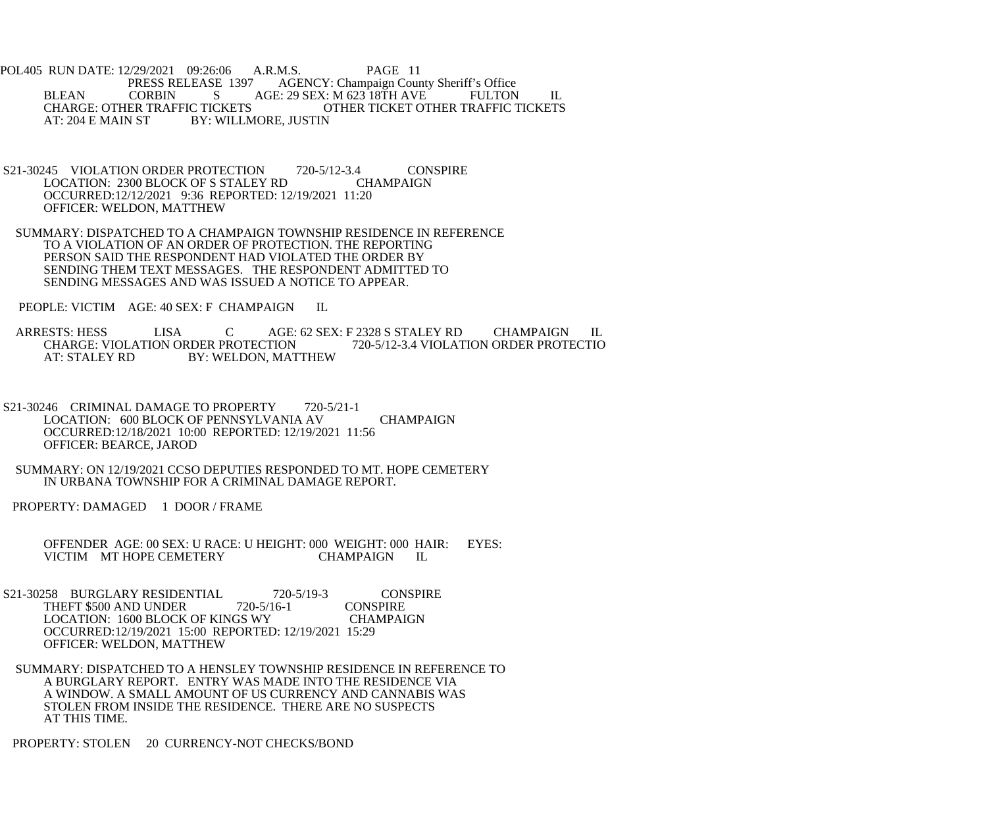POL405 RUN DATE: 12/29/2021 09:26:06 A.R.M.S. PAGE 11 AGENCY: Champaign County Sheriff's Office BLEAN CORBIN S AGE: 29 SEX: M 623 18TH AVE FULTON IL<br>CHARGE: OTHER TRAFFIC TICKETS OTHER TICKET OTHER TRAFFIC TICKETS CHARGE: OTHER TRAFFIC TICKETS OTHER TICKET OTHER TRAFFIC TICKETS<br>AT: 204 E MAIN ST BY: WILLMORE. JUSTIN BY: WILLMORE, JUSTIN

- S21-30245 VIOLATION ORDER PROTECTION 720-5/12-3.4 CONSPIRE<br>LOCATION: 2300 BLOCK OF S STALEY RD CHAMPAIGN LOCATION: 2300 BLOCK OF S STALEY RD OCCURRED:12/12/2021 9:36 REPORTED: 12/19/2021 11:20 OFFICER: WELDON, MATTHEW
- SUMMARY: DISPATCHED TO A CHAMPAIGN TOWNSHIP RESIDENCE IN REFERENCE TO A VIOLATION OF AN ORDER OF PROTECTION. THE REPORTING PERSON SAID THE RESPONDENT HAD VIOLATED THE ORDER BY SENDING THEM TEXT MESSAGES. THE RESPONDENT ADMITTED TO SENDING MESSAGES AND WAS ISSUED A NOTICE TO APPEAR.

PEOPLE: VICTIM AGE: 40 SEX: F CHAMPAIGN IL

ARRESTS: HESS LISA C AGE: 62 SEX: F 2328 S STALEY RD CHAMPAIGN IL<br>CHARGE: VIOLATION ORDER PROTECTION 720-5/12-3.4 VIOLATION ORDER PROTECTIO CHARGE: VIOLATION ORDER PROTECTION 720-5/12-3.4 VIOLATION ORDER PROTECTIO AT: STALEY RD BY: WELDON, MATTHEW

- S21-30246 CRIMINAL DAMAGE TO PROPERTY 720-5/21-1 LOCATION: 600 BLOCK OF PENNSYLVANIA AV CHAMPAIGN OCCURRED:12/18/2021 10:00 REPORTED: 12/19/2021 11:56 OFFICER: BEARCE, JAROD
- SUMMARY: ON 12/19/2021 CCSO DEPUTIES RESPONDED TO MT. HOPE CEMETERY IN URBANA TOWNSHIP FOR A CRIMINAL DAMAGE REPORT.

PROPERTY: DAMAGED 1 DOOR / FRAME

 OFFENDER AGE: 00 SEX: U RACE: U HEIGHT: 000 WEIGHT: 000 HAIR: EYES: VICTIM MT HOPE CEMETERY CHAMPAIGN IL

- S21-30258 BURGLARY RESIDENTIAL 720-5/19-3 CONSPIRE<br>THEFT \$500 AND UNDER 720-5/16-1 CONSPIRE THEFT \$500 AND UNDER LOCATION: 1600 BLOCK OF KINGS WY CHAMPAIGN OCCURRED:12/19/2021 15:00 REPORTED: 12/19/2021 15:29 OFFICER: WELDON, MATTHEW
- SUMMARY: DISPATCHED TO A HENSLEY TOWNSHIP RESIDENCE IN REFERENCE TO A BURGLARY REPORT. ENTRY WAS MADE INTO THE RESIDENCE VIA A WINDOW. A SMALL AMOUNT OF US CURRENCY AND CANNABIS WAS STOLEN FROM INSIDE THE RESIDENCE. THERE ARE NO SUSPECTS AT THIS TIME.

PROPERTY: STOLEN 20 CURRENCY-NOT CHECKS/BOND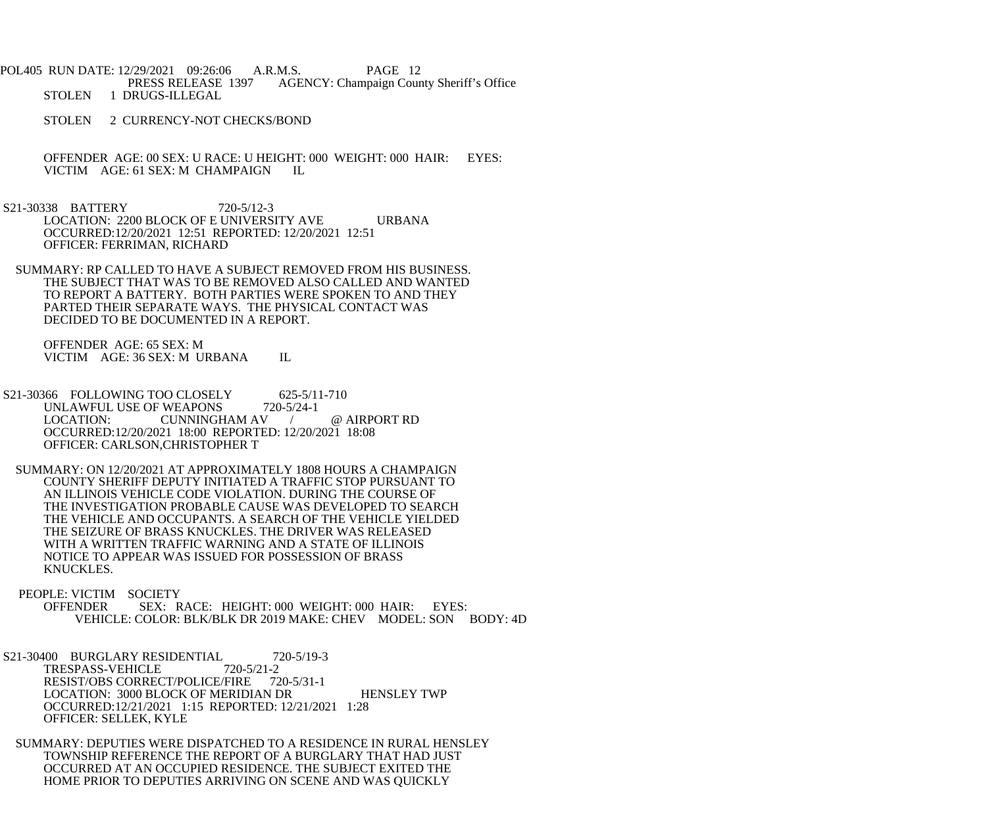POL405 RUN DATE: 12/29/2021 09:26:06 A.R.M.S. PAGE 12 AGENCY: Champaign County Sheriff's Office STOLEN 1 DRUGS-ILLEGAL

STOLEN 2 CURRENCY-NOT CHECKS/BOND

OFFENDER AGE: 00 SEX: U RACE: U HEIGHT: 000 WEIGHT: 000 HAIR: EYES: VICTIM AGE: 61 SEX: M CHAMPAIGN IL VICTIM AGE: 61 SEX: M CHAMPAIGN

 S21-30338 BATTERY 720-5/12-3 LOCATION: 2200 BLOCK OF E UNIVERSITY AVE URBANA OCCURRED:12/20/2021 12:51 REPORTED: 12/20/2021 12:51 OFFICER: FERRIMAN, RICHARD

 SUMMARY: RP CALLED TO HAVE A SUBJECT REMOVED FROM HIS BUSINESS. THE SUBJECT THAT WAS TO BE REMOVED ALSO CALLED AND WANTED TO REPORT A BATTERY. BOTH PARTIES WERE SPOKEN TO AND THEY PARTED THEIR SEPARATE WAYS. THE PHYSICAL CONTACT WAS DECIDED TO BE DOCUMENTED IN A REPORT.

 OFFENDER AGE: 65 SEX: M VICTIM AGE: 36 SEX: M URBANA IL

S21-30366 FOLLOWING TOO CLOSELY 625-5/11-710 UNLAWFUL USE OF WEAPONS 720-5/24-1 LOCATION: CUNNINGHAM AV / @ AIRPORT RD OCCURRED:12/20/2021 18:00 REPORTED: 12/20/2021 18:08 OFFICER: CARLSON,CHRISTOPHER T

 SUMMARY: ON 12/20/2021 AT APPROXIMATELY 1808 HOURS A CHAMPAIGN COUNTY SHERIFF DEPUTY INITIATED A TRAFFIC STOP PURSUANT TO AN ILLINOIS VEHICLE CODE VIOLATION. DURING THE COURSE OF THE INVESTIGATION PROBABLE CAUSE WAS DEVELOPED TO SEARCH THE VEHICLE AND OCCUPANTS. A SEARCH OF THE VEHICLE YIELDED THE SEIZURE OF BRASS KNUCKLES. THE DRIVER WAS RELEASED WITH A WRITTEN TRAFFIC WARNING AND A STATE OF ILLINOIS NOTICE TO APPEAR WAS ISSUED FOR POSSESSION OF BRASS KNUCKLES.

 PEOPLE: VICTIM SOCIETY OFFENDER SEX: RACE: HEIGHT: 000 WEIGHT: 000 HAIR: EYES: VEHICLE: COLOR: BLK/BLK DR 2019 MAKE: CHEV MODEL: SON BODY: 4D

S21-30400 BURGLARY RESIDENTIAL 720-5/19-3<br>TRESPASS-VEHICLE 720-5/21-2 TRESPASS-VEHICLE RESIST/OBS CORRECT/POLICE/FIRE 720-5/31-1 LOCATION: 3000 BLOCK OF MERIDIAN DR HENSLEY TWP OCCURRED:12/21/2021 1:15 REPORTED: 12/21/2021 1:28 OFFICER: SELLEK, KYLE

 SUMMARY: DEPUTIES WERE DISPATCHED TO A RESIDENCE IN RURAL HENSLEY TOWNSHIP REFERENCE THE REPORT OF A BURGLARY THAT HAD JUST OCCURRED AT AN OCCUPIED RESIDENCE. THE SUBJECT EXITED THE HOME PRIOR TO DEPUTIES ARRIVING ON SCENE AND WAS QUICKLY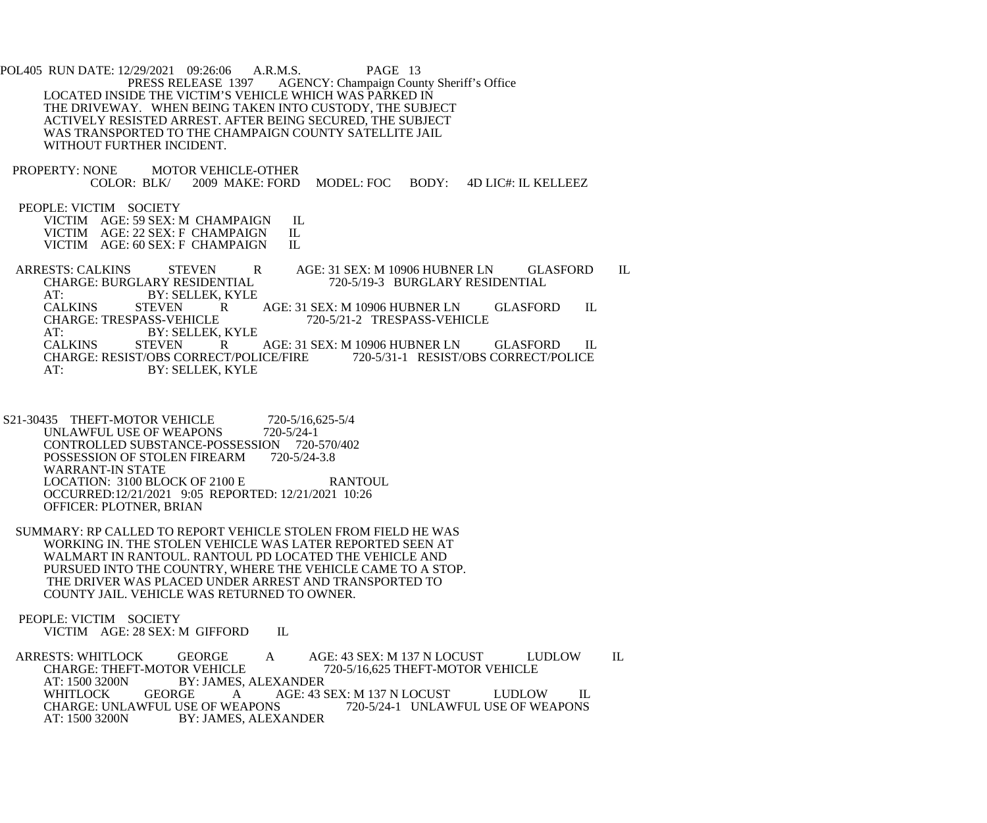POL405 RUN DATE: 12/29/2021 09:26:06 A.R.M.S. PAGE 13 AGENCY: Champaign County Sheriff's Office LOCATED INSIDE THE VICTIM'S VEHICLE WHICH WAS PARKED IN THE DRIVEWAY. WHEN BEING TAKEN INTO CUSTODY, THE SUBJECT ACTIVELY RESISTED ARREST. AFTER BEING SECURED, THE SUBJECT WAS TRANSPORTED TO THE CHAMPAIGN COUNTY SATELLITE JAIL WITHOUT FURTHER INCIDENT. PROPERTY: NONE MOTOR VEHICLE-OTHER<br>COLOR: BLK/ 2009 MAKE: FORD 2009 MAKE: FORD MODEL: FOC BODY: 4D LIC#: IL KELLEEZ PEOPLE: VICTIM SOCIETY VICTIM AGE: 59 SEX: M CHAMPAIGN IL<br>VICTIM AGE: 22 SEX: F CHAMPAIGN IL VICTIM AGE: 22 SEX: F CHAMPAIGN IL<br>VICTIM AGE: 60 SEX: F CHAMPAIGN IL VICTIM AGE: 60 SEX: F CHAMPAIGN ARRESTS: CALKINS STEVEN R AGE: 31 SEX: M 10906 HUBNER LN GLASFORD IL CHARGE: BURGLARY RESIDENTIAL 720-5/19-3 BURGLARY RESIDENTIAL AT: BY: SELLEK, KYLE<br>CALKINS STEVEN R CALKINS STEVEN R AGE: 31 SEX: M 10906 HUBNER LN GLASFORD IL<br>CHARGE: TRESPASS-VEHICLE 720-5/21-2 TRESPASS-VEHICLE 720-5/21-2 TRESPASS-VEHICLE AT: BY: SELLEK, KYLE<br>CALKINS STEVEN R R AGE: 31 SEX: M 10906 HUBNER LN GLASFORD IL<br>CT/POLICE/FIRE 720-5/31-1 RESIST/OBS CORRECT/POLICE CHARGE: RESIST/OBS CORRECT/POLICE/FIRE AT: BY: SELLEK, KYLE

- S21-30435 THEFT-MOTOR VEHICLE 720-5/16,625-5/4<br>UNLAWFUL USE OF WEAPONS 720-5/24-1 UNLAWFUL USE OF WEAPONS CONTROLLED SUBSTANCE-POSSESSION 720-570/402<br>POSSESSION OF STOLEN FIREARM 720-5/24-3.8 POSSESSION OF STOLEN FIREARM WARRANT-IN STATE LOCATION: 3100 BLOCK OF 2100 E RANTOUL OCCURRED:12/21/2021 9:05 REPORTED: 12/21/2021 10:26 OFFICER: PLOTNER, BRIAN
- SUMMARY: RP CALLED TO REPORT VEHICLE STOLEN FROM FIELD HE WAS WORKING IN. THE STOLEN VEHICLE WAS LATER REPORTED SEEN AT WALMART IN RANTOUL. RANTOUL PD LOCATED THE VEHICLE AND PURSUED INTO THE COUNTRY, WHERE THE VEHICLE CAME TO A STOP. THE DRIVER WAS PLACED UNDER ARREST AND TRANSPORTED TO COUNTY JAIL. VEHICLE WAS RETURNED TO OWNER.

 PEOPLE: VICTIM SOCIETY VICTIM AGE: 28 SEX: M GIFFORD IL

ARRESTS: WHITLOCK GEORGE A AGE: 43 SEX: M 137 N LOCUST LUDLOW IL CHARGE: THEFT-MOTOR VEHICLE 720-5/16.625 THEFT-MOTOR VEHICLE CHARGE: THEFT-MOTOR VEHICLE<br>AT: 1500 3200N BY: JAMES. ALEXANDER BY: JAMES, ALEXANDER<br>GEORGE A AGE: 43 S WHITLOCK GEORGE A AGE: 43 SEX: M 137 N LOCUST LUDLOW IL CHARGE: UNLAWFUL USE OF WEAPONS 720-5/24-1 UNLAWFUL USE OF WEAPONS CHARGE: UNLAWFUL USE OF WEAPONS 720-5/24-1 UNLAWFUL USE OF WEAPONS<br>AT: 1500 3200N BY: JAMES. ALEXANDER BY: JAMES, ALEXANDER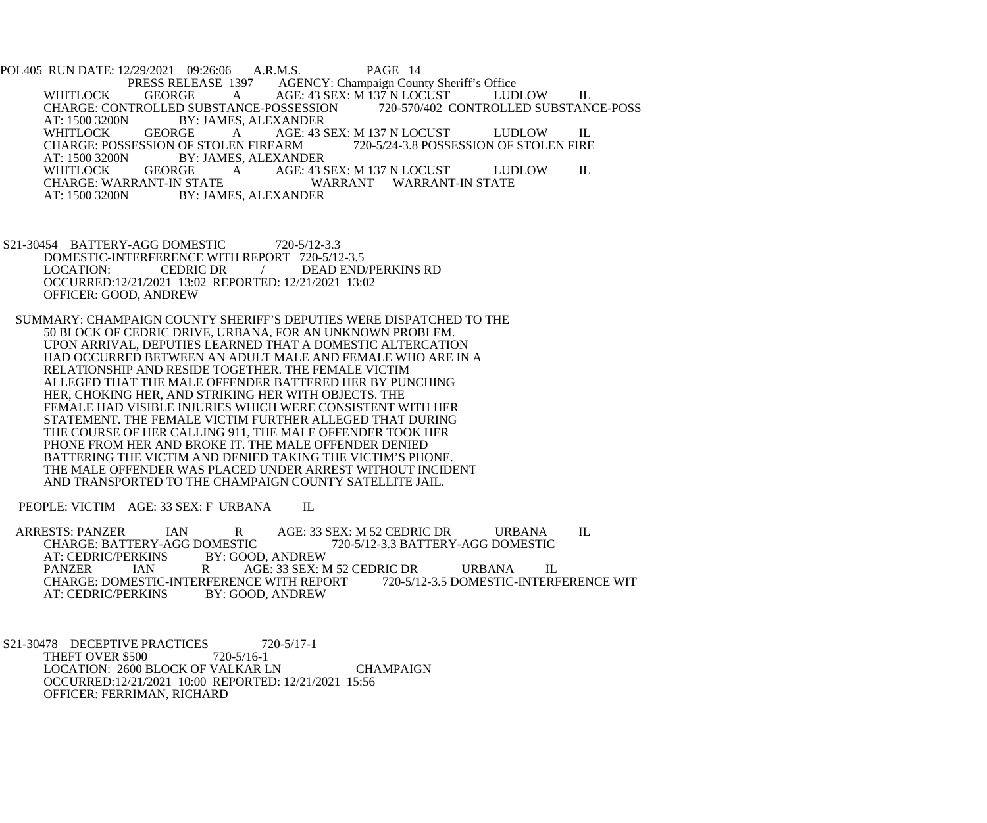POL405 RUN DATE: 12/29/2021 09:26:06 A.R.M.S. PAGE 14 AGENCY: Champaign County Sheriff's Office WHITLOCK GEORGE A AGE: 43 SEX: M 137 N LOCUST LUDLOW IL<br>CHARGE: CONTROLLED SUBSTANCE-POSSESSION 720-570/402 CONTROLLED SUBSTANCE-POSS CHARGE: CONTROLLED SUBSTANCE-POSSESSION<br>AT: 1500 3200N BY: JAMES, ALEXANDER AT: 1500 3200N BY: JAMES, ALEXANDER<br>WHITLOCK GEORGE A AGE: 43 S A AGE: 43 SEX: M 137 N LOCUST LUDLOW IL<br>EN FIREARM 720-5/24-3.8 POSSESSION OF STOLEN FIRE CHARGE: POSSESSION OF STOLEN FIREARM<br>AT: 1500 3200N BY: JAMES, ALEXAND AT: 1500 3200N BY: JAMES, ALEXANDER<br>WHITLOCK GEORGE A AGE: 43 S WHITLOCK GEORGE A AGE: 43 SEX: M 137 N LOCUST LUDLOW IL CHARGE: WARRANT-IN STATE CHARGE: WARRANT-IN STATE WARRANT WARRANT-IN STATE<br>AT: 1500 3200N BY: JAMES. ALEXANDER BY: JAMES, ALEXANDER

- S21-30454 BATTERY-AGG DOMESTIC 720-5/12-3.3 DOMESTIC-INTERFERENCE WITH REPORT 720-5/12-3.5<br>LOCATION: CEDRIC DR / DEAD END DEAD END/PERKINS RD OCCURRED:12/21/2021 13:02 REPORTED: 12/21/2021 13:02 OFFICER: GOOD, ANDREW
- SUMMARY: CHAMPAIGN COUNTY SHERIFF'S DEPUTIES WERE DISPATCHED TO THE 50 BLOCK OF CEDRIC DRIVE, URBANA, FOR AN UNKNOWN PROBLEM. UPON ARRIVAL, DEPUTIES LEARNED THAT A DOMESTIC ALTERCATION HAD OCCURRED BETWEEN AN ADULT MALE AND FEMALE WHO ARE IN A RELATIONSHIP AND RESIDE TOGETHER. THE FEMALE VICTIM ALLEGED THAT THE MALE OFFENDER BATTERED HER BY PUNCHING HER, CHOKING HER, AND STRIKING HER WITH OBJECTS. THE FEMALE HAD VISIBLE INJURIES WHICH WERE CONSISTENT WITH HER STATEMENT. THE FEMALE VICTIM FURTHER ALLEGED THAT DURING THE COURSE OF HER CALLING 911, THE MALE OFFENDER TOOK HER PHONE FROM HER AND BROKE IT. THE MALE OFFENDER DENIED BATTERING THE VICTIM AND DENIED TAKING THE VICTIM'S PHONE. THE MALE OFFENDER WAS PLACED UNDER ARREST WITHOUT INCIDENT AND TRANSPORTED TO THE CHAMPAIGN COUNTY SATELLITE JAIL.

PEOPLE: VICTIM AGE: 33 SEX: F URBANA IL

ARRESTS: PANZER IAN RAGE: 33 SEX: M 52 CEDRIC DR URBANA IL<br>CHARGE: BATTERY-AGG DOMESTIC 720-5/12-3.3 BATTERY-AGG DOMESTIC OMESTIC 720-5/12-3.3 BATTERY-AGG DOMESTIC<br>BY: GOOD. ANDREW AT: CEDRIC/PERKINS BY: GOOD, ANDREW IAN RAGE: 33 SEX: M 52 CEDRIC DRURBANA IL<br>ESTIC-INTERFERENCE WITH REPORT 720-5/12-3.5 DOMESTIC-INTERFERENCE WIT CHARGE: DOMESTIC-INTERFERENCE WITH REPORT<br>AT: CEDRIC/PERKINS BY: GOOD, ANDREW AT: CEDRIC/PERKINS

S21-30478 DECEPTIVE PRACTICES 720-5/17-1<br>THEFT OVER \$500 720-5/16-1 THEFT OVER \$500 LOCATION: 2600 BLOCK OF VALKAR LN CHAMPAIGN OCCURRED:12/21/2021 10:00 REPORTED: 12/21/2021 15:56 OFFICER: FERRIMAN, RICHARD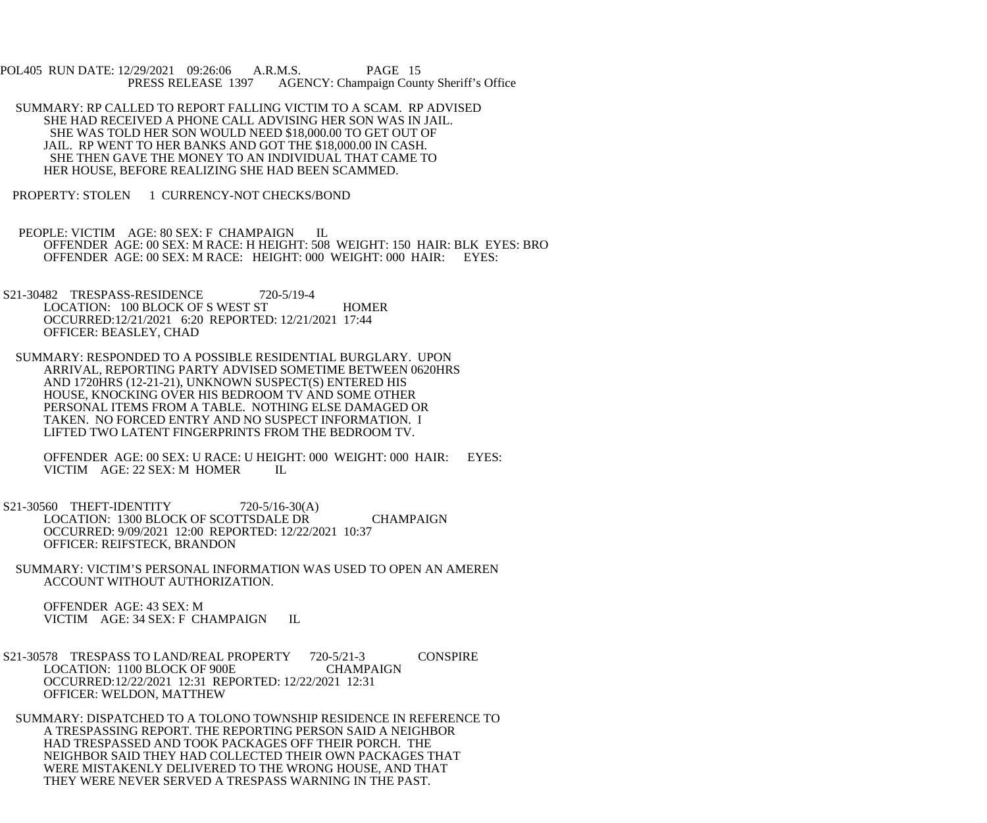POL405 RUN DATE: 12/29/2021 09:26:06 A.R.M.S. PAGE 15 AGENCY: Champaign County Sheriff's Office

- SUMMARY: RP CALLED TO REPORT FALLING VICTIM TO A SCAM. RP ADVISED SHE HAD RECEIVED A PHONE CALL ADVISING HER SON WAS IN JAIL. SHE WAS TOLD HER SON WOULD NEED \$18,000.00 TO GET OUT OF JAIL. RP WENT TO HER BANKS AND GOT THE \$18,000.00 IN CASH. SHE THEN GAVE THE MONEY TO AN INDIVIDUAL THAT CAME TO HER HOUSE, BEFORE REALIZING SHE HAD BEEN SCAMMED.
- PROPERTY: STOLEN 1 CURRENCY-NOT CHECKS/BOND
- PEOPLE: VICTIM AGE: 80 SEX: F CHAMPAIGN IL OFFENDER AGE: 00 SEX: M RACE: H HEIGHT: 508 WEIGHT: 150 HAIR: BLK EYES: BRO OFFENDER AGE: 00 SEX: M RACE: HEIGHT: 000 WEIGHT: 000 HAIR: EYES:
- S21-30482 TRESPASS-RESIDENCE 720-5/19-4 LOCATION: 100 BLOCK OF S WEST ST HOMER OCCURRED:12/21/2021 6:20 REPORTED: 12/21/2021 17:44 OFFICER: BEASLEY, CHAD
- SUMMARY: RESPONDED TO A POSSIBLE RESIDENTIAL BURGLARY. UPON ARRIVAL, REPORTING PARTY ADVISED SOMETIME BETWEEN 0620HRS AND 1720HRS (12-21-21), UNKNOWN SUSPECT(S) ENTERED HIS HOUSE, KNOCKING OVER HIS BEDROOM TV AND SOME OTHER PERSONAL ITEMS FROM A TABLE. NOTHING ELSE DAMAGED OR TAKEN. NO FORCED ENTRY AND NO SUSPECT INFORMATION. I LIFTED TWO LATENT FINGERPRINTS FROM THE BEDROOM TV.

 OFFENDER AGE: 00 SEX: U RACE: U HEIGHT: 000 WEIGHT: 000 HAIR: EYES: VICTIM AGE: 22 SEX: M HOMER IL

- S21-30560 THEFT-IDENTITY 720-5/16-30(A) LOCATION: 1300 BLOCK OF SCOTTSDALE DR CHAMPAIGN OCCURRED: 9/09/2021 12:00 REPORTED: 12/22/2021 10:37 OFFICER: REIFSTECK, BRANDON
- SUMMARY: VICTIM'S PERSONAL INFORMATION WAS USED TO OPEN AN AMEREN ACCOUNT WITHOUT AUTHORIZATION.

 OFFENDER AGE: 43 SEX: M VICTIM AGE: 34 SEX: F CHAMPAIGN IL

 S21-30578 TRESPASS TO LAND/REAL PROPERTY 720-5/21-3 CONSPIRE LOCATION: 1100 BLOCK OF 900E CHAMPAIGN OCCURRED:12/22/2021 12:31 REPORTED: 12/22/2021 12:31 OFFICER: WELDON, MATTHEW

 SUMMARY: DISPATCHED TO A TOLONO TOWNSHIP RESIDENCE IN REFERENCE TO A TRESPASSING REPORT. THE REPORTING PERSON SAID A NEIGHBOR HAD TRESPASSED AND TOOK PACKAGES OFF THEIR PORCH. THE NEIGHBOR SAID THEY HAD COLLECTED THEIR OWN PACKAGES THAT WERE MISTAKENLY DELIVERED TO THE WRONG HOUSE, AND THAT THEY WERE NEVER SERVED A TRESPASS WARNING IN THE PAST.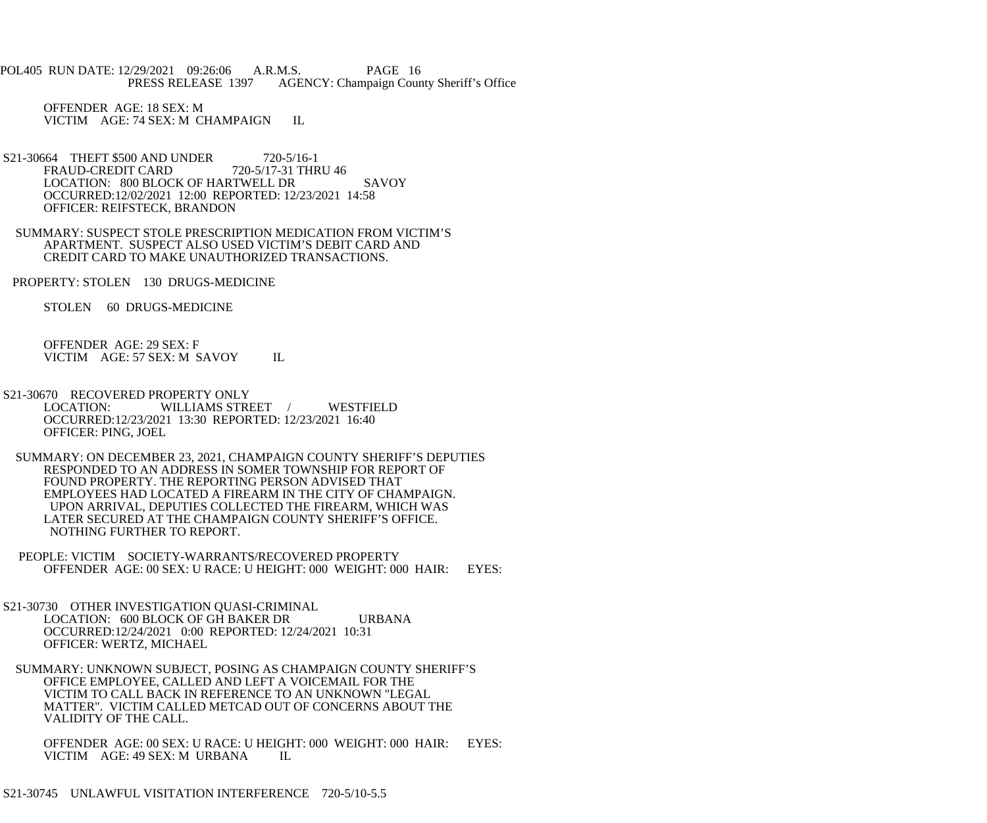POL405 RUN DATE: 12/29/2021 09:26:06 A.R.M.S. PAGE 16 PRESS RELEASE 1397 AGENCY: Champaign County Sheriff's Office

 OFFENDER AGE: 18 SEX: M VICTIM AGE: 74 SEX: M CHAMPAIGN IL

- S21-30664 THEFT \$500 AND UNDER 720-5/16-1<br>FRAUD-CREDIT CARD 720-5/17-31 THRU 46 FRAUD-CREDIT CARD LOCATION: 800 BLOCK OF HARTWELL DR SAVOY OCCURRED:12/02/2021 12:00 REPORTED: 12/23/2021 14:58 OFFICER: REIFSTECK, BRANDON
- SUMMARY: SUSPECT STOLE PRESCRIPTION MEDICATION FROM VICTIM'S APARTMENT. SUSPECT ALSO USED VICTIM'S DEBIT CARD AND CREDIT CARD TO MAKE UNAUTHORIZED TRANSACTIONS.

PROPERTY: STOLEN 130 DRUGS-MEDICINE

STOLEN 60 DRUGS-MEDICINE

 OFFENDER AGE: 29 SEX: F VICTIM AGE: 57 SEX: M SAVOY IL

- S21-30670 RECOVERED PROPERTY ONLY<br>LOCATION: WILLIAMS STRI WILLIAMS STREET / WESTFIELD OCCURRED:12/23/2021 13:30 REPORTED: 12/23/2021 16:40 OFFICER: PING, JOEL
- SUMMARY: ON DECEMBER 23, 2021, CHAMPAIGN COUNTY SHERIFF'S DEPUTIES RESPONDED TO AN ADDRESS IN SOMER TOWNSHIP FOR REPORT OF FOUND PROPERTY. THE REPORTING PERSON ADVISED THAT EMPLOYEES HAD LOCATED A FIREARM IN THE CITY OF CHAMPAIGN. UPON ARRIVAL, DEPUTIES COLLECTED THE FIREARM, WHICH WAS LATER SECURED AT THE CHAMPAIGN COUNTY SHERIFF'S OFFICE. NOTHING FURTHER TO REPORT.
- PEOPLE: VICTIM SOCIETY-WARRANTS/RECOVERED PROPERTY OFFENDER AGE: 00 SEX: U RACE: U HEIGHT: 000 WEIGHT: 000 HAIR: EYES:
- S21-30730 OTHER INVESTIGATION QUASI-CRIMINAL LOCATION: 600 BLOCK OF GH BAKER DR URBANA OCCURRED:12/24/2021 0:00 REPORTED: 12/24/2021 10:31 OFFICER: WERTZ, MICHAEL
- SUMMARY: UNKNOWN SUBJECT, POSING AS CHAMPAIGN COUNTY SHERIFF'S OFFICE EMPLOYEE, CALLED AND LEFT A VOICEMAIL FOR THE VICTIM TO CALL BACK IN REFERENCE TO AN UNKNOWN "LEGAL MATTER". VICTIM CALLED METCAD OUT OF CONCERNS ABOUT THE VALIDITY OF THE CALL.

 OFFENDER AGE: 00 SEX: U RACE: U HEIGHT: 000 WEIGHT: 000 HAIR: EYES: VICTIM AGE: 49 SEX: M URBANA IL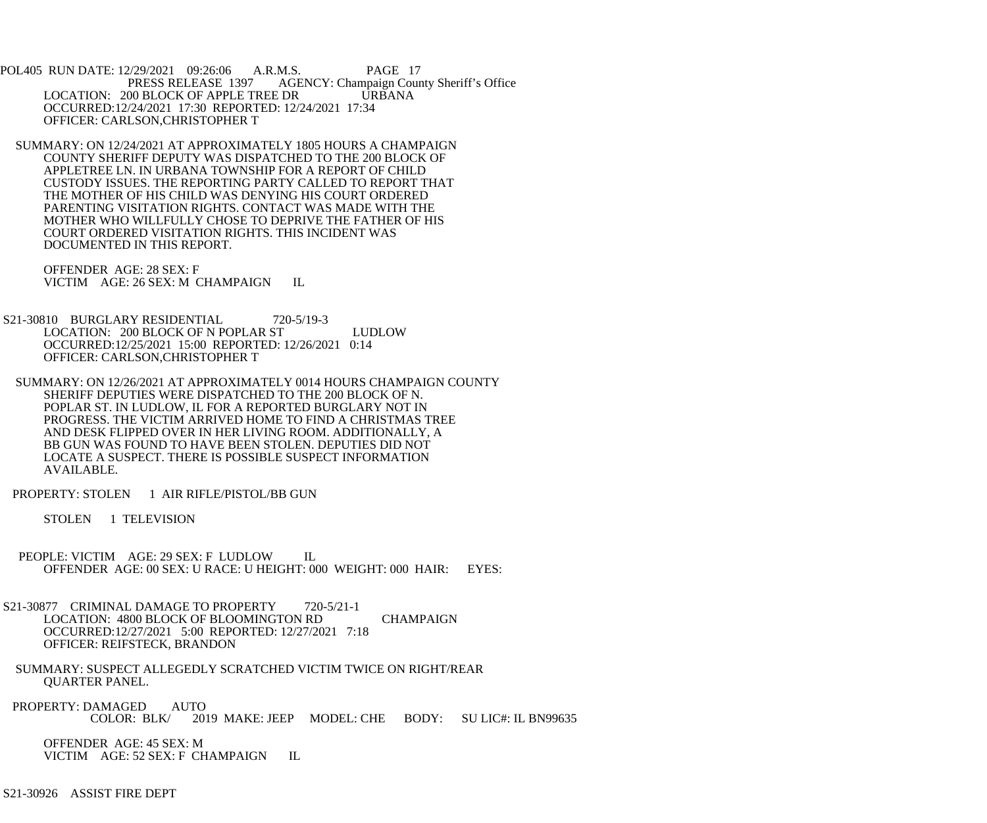POL405 RUN DATE: 12/29/2021 09:26:06 A.R.M.S. PAGE 17 AGENCY: Champaign County Sheriff's Office LOCATION: 200 BLOCK OF APPLE TREE DR URBANA OCCURRED:12/24/2021 17:30 REPORTED: 12/24/2021 17:34 OFFICER: CARLSON,CHRISTOPHER T

 SUMMARY: ON 12/24/2021 AT APPROXIMATELY 1805 HOURS A CHAMPAIGN COUNTY SHERIFF DEPUTY WAS DISPATCHED TO THE 200 BLOCK OF APPLETREE LN. IN URBANA TOWNSHIP FOR A REPORT OF CHILD CUSTODY ISSUES. THE REPORTING PARTY CALLED TO REPORT THAT THE MOTHER OF HIS CHILD WAS DENYING HIS COURT ORDERED PARENTING VISITATION RIGHTS. CONTACT WAS MADE WITH THE MOTHER WHO WILLFULLY CHOSE TO DEPRIVE THE FATHER OF HIS COURT ORDERED VISITATION RIGHTS. THIS INCIDENT WAS DOCUMENTED IN THIS REPORT.

 OFFENDER AGE: 28 SEX: F VICTIM AGE: 26 SEX: M CHAMPAIGN IL

S21-30810 BURGLARY RESIDENTIAL 720-5/19-3 LOCATION: 200 BLOCK OF N POPLAR ST LUDLOW OCCURRED:12/25/2021 15:00 REPORTED: 12/26/2021 0:14 OFFICER: CARLSON,CHRISTOPHER T

 SUMMARY: ON 12/26/2021 AT APPROXIMATELY 0014 HOURS CHAMPAIGN COUNTY SHERIFF DEPUTIES WERE DISPATCHED TO THE 200 BLOCK OF N. POPLAR ST. IN LUDLOW, IL FOR A REPORTED BURGLARY NOT IN PROGRESS. THE VICTIM ARRIVED HOME TO FIND A CHRISTMAS TREE AND DESK FLIPPED OVER IN HER LIVING ROOM. ADDITIONALLY, A BB GUN WAS FOUND TO HAVE BEEN STOLEN. DEPUTIES DID NOT LOCATE A SUSPECT. THERE IS POSSIBLE SUSPECT INFORMATION AVAILABLE.

PROPERTY: STOLEN 1 AIR RIFLE/PISTOL/BB GUN

STOLEN 1 TELEVISION

 PEOPLE: VICTIM AGE: 29 SEX: F LUDLOW IL OFFENDER AGE: 00 SEX: U RACE: U HEIGHT: 000 WEIGHT: 000 HAIR: EYES:

S21-30877 CRIMINAL DAMAGE TO PROPERTY 720-5/21-1 LOCATION: 4800 BLOCK OF BLOOMINGTON RD CHAMPAIGN OCCURRED:12/27/2021 5:00 REPORTED: 12/27/2021 7:18 OFFICER: REIFSTECK, BRANDON

- SUMMARY: SUSPECT ALLEGEDLY SCRATCHED VICTIM TWICE ON RIGHT/REAR QUARTER PANEL.
- PROPERTY: DAMAGED AUTO<br>COLOR: BLK/ 201 2019 MAKE: JEEP MODEL: CHE BODY: SU LIC#: IL BN99635

 OFFENDER AGE: 45 SEX: M VICTIM AGE: 52 SEX: F CHAMPAIGN IL